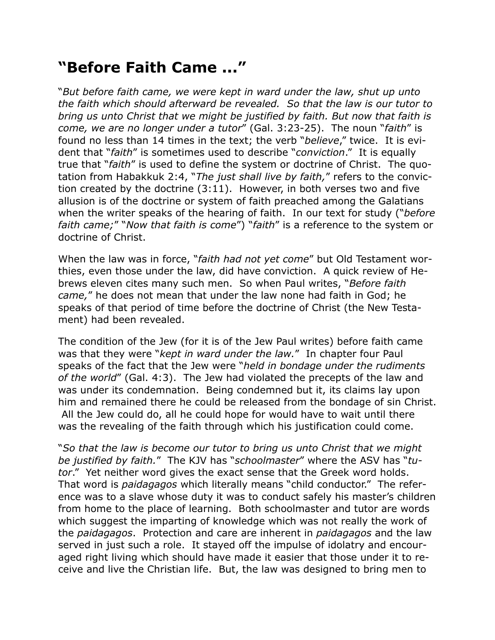## **"Before Faith Came ..."**

"*But before faith came, we were kept in ward under the law, shut up unto the faith which should afterward be revealed. So that the law is our tutor to bring us unto Christ that we might be justified by faith. But now that faith is come, we are no longer under a tutor*" (Gal. 3:23-25). The noun "*faith*" is found no less than 14 times in the text; the verb "*believe*," twice. It is evident that "*faith*" is sometimes used to describe "*conviction*." It is equally true that "*faith*" is used to define the system or doctrine of Christ. The quotation from Habakkuk 2:4, "*The just shall live by faith,*" refers to the conviction created by the doctrine (3:11). However, in both verses two and five allusion is of the doctrine or system of faith preached among the Galatians when the writer speaks of the hearing of faith. In our text for study ("*before faith came;*" "*Now that faith is come*") "*faith*" is a reference to the system or doctrine of Christ.

When the law was in force, "*faith had not yet come*" but Old Testament worthies, even those under the law, did have conviction. A quick review of Hebrews eleven cites many such men. So when Paul writes, "*Before faith came,*" he does not mean that under the law none had faith in God; he speaks of that period of time before the doctrine of Christ (the New Testament) had been revealed.

The condition of the Jew (for it is of the Jew Paul writes) before faith came was that they were "*kept in ward under the law.*" In chapter four Paul speaks of the fact that the Jew were "*held in bondage under the rudiments of the world*" (Gal. 4:3). The Jew had violated the precepts of the law and was under its condemnation. Being condemned but it, its claims lay upon him and remained there he could be released from the bondage of sin Christ. All the Jew could do, all he could hope for would have to wait until there was the revealing of the faith through which his justification could come.

"*So that the law is become our tutor to bring us unto Christ that we might be justified by faith.*" The KJV has "*schoolmaster*" where the ASV has "*tutor*." Yet neither word gives the exact sense that the Greek word holds. That word is *paidagagos* which literally means "child conductor." The reference was to a slave whose duty it was to conduct safely his master's children from home to the place of learning. Both schoolmaster and tutor are words which suggest the imparting of knowledge which was not really the work of the *paidagagos*. Protection and care are inherent in *paidagagos* and the law served in just such a role. It stayed off the impulse of idolatry and encouraged right living which should have made it easier that those under it to receive and live the Christian life. But, the law was designed to bring men to